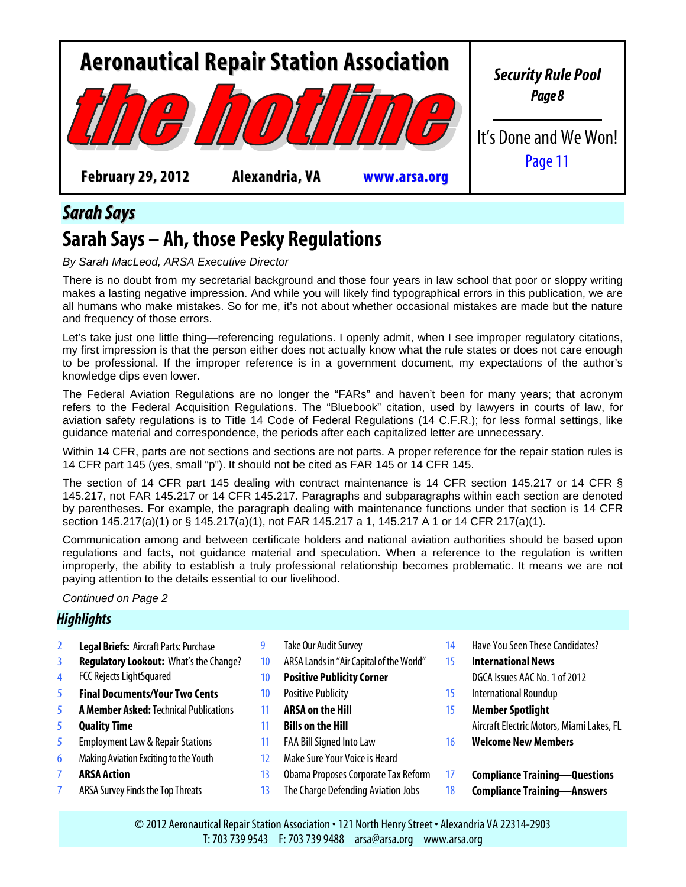

## *Sarah Says*

# **Sarah Says – Ah, those Pesky Regulations**

#### *By Sarah MacLeod, ARSA Executive Director*

There is no doubt from my secretarial background and those four years in law school that poor or sloppy writing makes a lasting negative impression. And while you will likely find typographical errors in this publication, we are all humans who make mistakes. So for me, it's not about whether occasional mistakes are made but the nature and frequency of those errors.

Let's take just one little thing—referencing regulations. I openly admit, when I see improper regulatory citations, my first impression is that the person either does not actually know what the rule states or does not care enough to be professional. If the improper reference is in a government document, my expectations of the author's knowledge dips even lower.

The Federal Aviation Regulations are no longer the "FARs" and haven't been for many years; that acronym refers to the Federal Acquisition Regulations. The "Bluebook" citation, used by lawyers in courts of law, for aviation safety regulations is to Title 14 Code of Federal Regulations (14 C.F.R.); for less formal settings, like guidance material and correspondence, the periods after each capitalized letter are unnecessary.

Within 14 CFR, parts are not sections and sections are not parts. A proper reference for the repair station rules is 14 CFR part 145 (yes, small "p"). It should not be cited as FAR 145 or 14 CFR 145.

The section of 14 CFR part 145 dealing with contract maintenance is 14 CFR section 145.217 or 14 CFR § 145.217, not FAR 145.217 or 14 CFR 145.217. Paragraphs and subparagraphs within each section are denoted by parentheses. For example, the paragraph dealing with maintenance functions under that section is 14 CFR section 145.217(a)(1) or § 145.217(a)(1), not FAR 145.217 a 1, 145.217 A 1 or 14 CFR 217(a)(1).

Communication among and between certificate holders and national aviation authorities should be based upon regulations and facts, not guidance material and speculation. When a reference to the regulation is written improperly, the ability to establish a truly professional relationship becomes problematic. It means we are not paying attention to the details essential to our livelihood.

#### *Continued on Page 2*

#### *Highlights*

- 2 Legal Briefs: [Aircraft Parts: Purchase](#page-1-0) 9 [Take Our Audit Survey](#page-8-0) 14 [Have You Seen The](#page-13-0)se Candidates?
- 
- 
- 5 **[Final Documents/Your Two Cents](#page-4-0)** 10 [Positive Publicity](#page-9-0) 15 [International Roundup](#page-14-0)
- 5 **A Member Asked:**[Technical Publications](#page-4-0) 11 **[ARSA on the Hill](#page-10-0)** 15 **[Member Spotlight](#page-14-0)**
- 
- 5 [Employment Law & Repair Stations](#page-4-0) 11 [FAA Bill Signed Into Law](#page-10-0) 16 **[Welcome New Members](#page-15-0)**
- 6 [Making Aviation Exciting to the Youth](#page-5-0) 12 [Make Sure Your Voice is Heard](#page-11-0)
- 
- 
- 
- 3 **[Regulatory Lookout:](#page-2-0)** What's the Change? 10 ARSA L[ands in "Air Capital of the World"](#page-9-0) 15 **[International News](#page-14-0)**
- 4 [FCC Rejects LightSquared](#page-3-0) 10 **[Positive Publicity Corner](#page-9-0)** [DGCA Issues AAC No. 1 of 2012](#page-14-0)
	-
	-
	-
	-
	-
	-
	-
- 
- -
- 
- 5 **[Quality Time](#page-4-0)** 11 **[Bills on the Hill](#page-10-0)** [Aircraft Electric Motors, Miami Lakes, FL](#page-14-0)
	-
- 7 **[ARSA Action](#page-6-0)** 13 [Obama Proposes Corporate Tax Reform](#page-12-0) 17 **[Compliance Training](#page-16-0)—Questions**
- 7 [ARSA Survey Finds the Top Threats](#page-6-0) 13 [The Charge Defending Aviation Jobs](#page-12-0) 18 **[Compliance Training](#page-17-0)—Answers**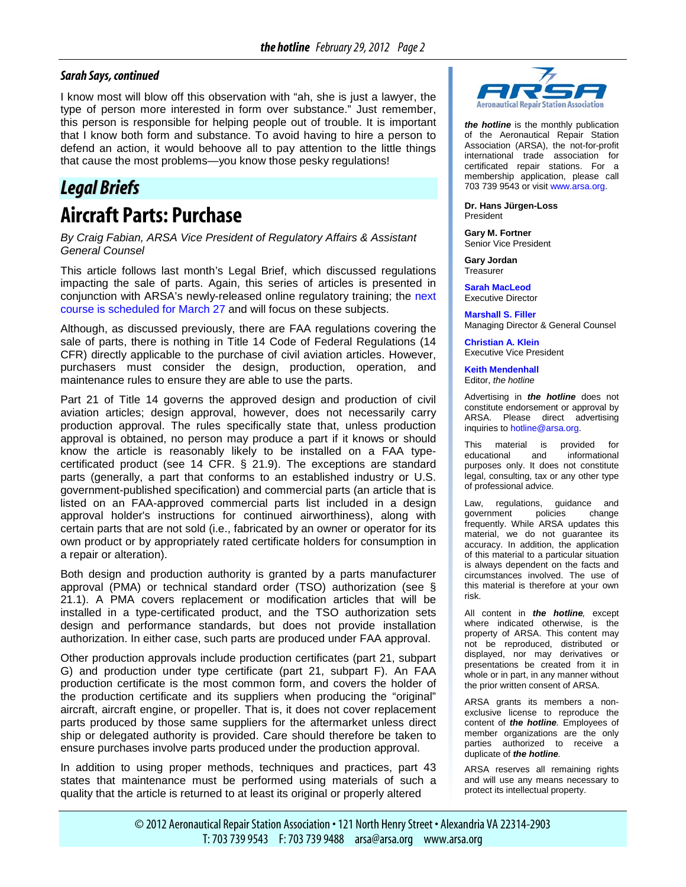#### <span id="page-1-0"></span>*Sarah Says, continued*

I know most will blow off this observation with "ah, she is just a lawyer, the type of person more interested in form over substance." Just remember, this person is responsible for helping people out of trouble. It is important that I know both form and substance. To avoid having to hire a person to defend an action, it would behoove all to pay attention to the little things that cause the most problems—you know those pesky regulations!

# *Legal Briefs*

## **Aircraft Parts: Purchase**

*By Craig Fabian, ARSA Vice President of Regulatory Affairs & Assistant General Counsel*

This article follows last month's Legal Brief, which discussed regulations impacting the sale of parts. Again, this series of articles is presented in conjunction with ARSA's newly-released online regulatory training; the [next](http://www.arsa.org/node/631)  [course is scheduled for March 27](http://www.arsa.org/node/631) and will focus on these subjects.

Although, as discussed previously, there are FAA regulations covering the sale of parts, there is nothing in Title 14 Code of Federal Regulations (14 CFR) directly applicable to the purchase of civil aviation articles. However, purchasers must consider the design, production, operation, and maintenance rules to ensure they are able to use the parts.

Part 21 of Title 14 governs the approved design and production of civil aviation articles; design approval, however, does not necessarily carry production approval. The rules specifically state that, unless production approval is obtained, no person may produce a part if it knows or should know the article is reasonably likely to be installed on a FAA typecertificated product (see 14 CFR. § 21.9). The exceptions are standard parts (generally, a part that conforms to an established industry or U.S. government-published specification) and commercial parts (an article that is listed on an FAA-approved commercial parts list included in a design approval holder's instructions for continued airworthiness), along with certain parts that are not sold (i.e., fabricated by an owner or operator for its own product or by appropriately rated certificate holders for consumption in a repair or alteration).

Both design and production authority is granted by a parts manufacturer approval (PMA) or technical standard order (TSO) authorization (see § 21.1). A PMA covers replacement or modification articles that will be installed in a type-certificated product, and the TSO authorization sets design and performance standards, but does not provide installation authorization. In either case, such parts are produced under FAA approval.

Other production approvals include production certificates (part 21, subpart G) and production under type certificate (part 21, subpart F). An FAA production certificate is the most common form, and covers the holder of the production certificate and its suppliers when producing the "original" aircraft, aircraft engine, or propeller. That is, it does not cover replacement parts produced by those same suppliers for the aftermarket unless direct ship or delegated authority is provided. Care should therefore be taken to ensure purchases involve parts produced under the production approval.

In addition to using proper methods, techniques and practices, part 43 states that maintenance must be performed using materials of such a quality that the article is returned to at least its original or properly altered



*the hotline* is the monthly publication of the Aeronautical Repair Station Association (ARSA), the not-for-profit international trade association for certificated repair stations. For a membership application, please call 703 739 9543 or visi[t www.arsa.org.](http://www.arsa.org/)

**Dr. Hans Jürgen-Loss** President

**Gary M. Fortner** Senior Vice President

**Gary Jordan Treasurer** 

**[Sarah MacLeod](mailto:Sarah.MacLeod@arsa.org)** Executive Director

**[Marshall S. Filler](mailto:Marshall.Filler@potomac-law.com)** Managing Director & General Counsel

**[Christian A. Klein](mailto:Christian.Klein@arsa.org)** Executive Vice President

**[Keith Mendenhall](mailto:Keith.Mendenhall@potomac-law.com)** Editor, *the hotline*

Advertising in *the hotline* does not constitute endorsement or approval by ARSA. Please direct advertising inquiries to [hotline@arsa.org.](mailto:hotline@arsa.org)

This material is provided for<br>educational and informational informational purposes only. It does not constitute legal, consulting, tax or any other type of professional advice.

Law, regulations, guidance and government policies change frequently. While ARSA updates this material, we do not guarantee its accuracy. In addition, the application of this material to a particular situation is always dependent on the facts and circumstances involved. The use of this material is therefore at your own risk.

All content in *the hotline,* except where indicated otherwise, is the property of ARSA. This content may not be reproduced, distributed or displayed, nor may derivatives or presentations be created from it in whole or in part, in any manner without the prior written consent of ARSA.

ARSA grants its members a nonexclusive license to reproduce the content of *the hotline.* Employees of member organizations are the only parties authorized to receive a duplicate of *the hotline.*

ARSA reserves all remaining rights and will use any means necessary to protect its intellectual property.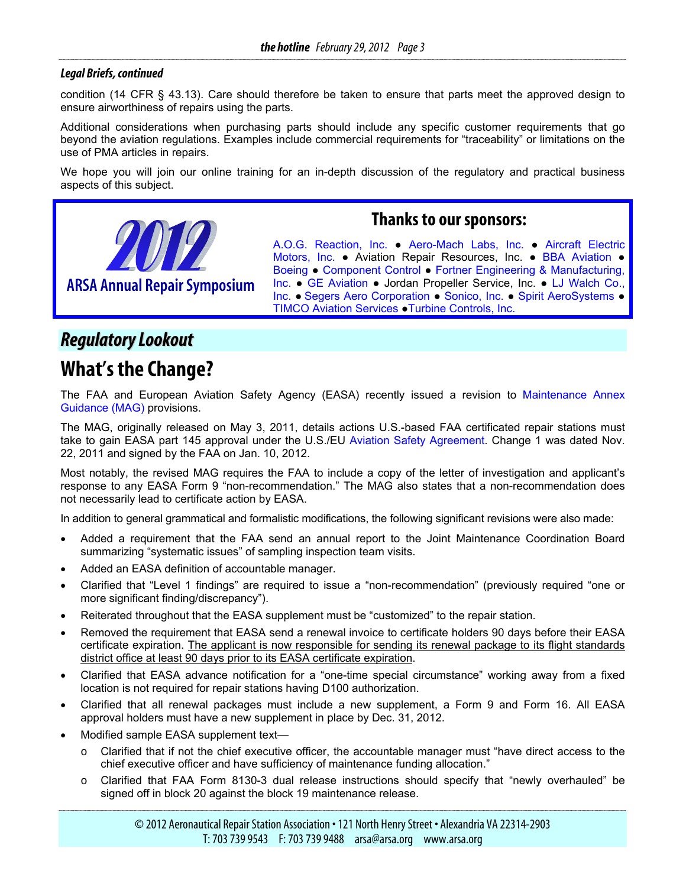#### <span id="page-2-0"></span>*Legal Briefs, continued*

condition (14 CFR § 43.13). Care should therefore be taken to ensure that parts meet the approved design to ensure airworthiness of repairs using the parts.

Additional considerations when purchasing parts should include any specific customer requirements that go beyond the aviation regulations. Examples include commercial requirements for "traceability" or limitations on the use of PMA articles in repairs.

We hope you will join our online training for an in-depth discussion of the regulatory and practical business aspects of this subject.



#### **Thanks to our sponsors:**

[A.O.G. Reaction, Inc.](http://www.aogreaction.com/) ● [Aero-Mach Labs, Inc.](http://www.aeromach.com/) ● [Aircraft Electric](http://www.airelec.com/) [Motors, Inc.](http://www.airelec.com/) • Aviation Repair Resources, Inc. • [BBA Aviation](http://www.bbaaviation.com/) • [Boeing](http://www.boeing.com/) ● [Component Control](http://www.componentcontrol.com/) ● [Fortner Engineering & Manufacturing,](http://www.arsa.org/www.fortnereng.com)  [Inc.](http://www.arsa.org/www.fortnereng.com) ● [GE Aviation](http://www.geae.com/) ● Jordan Propeller Service, Inc. ● [LJ Walch Co.,](http://www.ljwalch.com/) [Inc.](http://www.ljwalch.com/) **●** [Segers Aero Corporation](http://www.segers.aero/) ● [Sonico, Inc.](http://www.sonicoinc.com/) ● [Spirit AeroSystems](http://www.spiritaero.com/) ● [TIMCO Aviation Services](http://www.timco.aero/) ●[Turbine Controls, Inc.](http://www.tcimro.com/index.html)

## *RegulatoryLookout*

## **What's the Change?**

The FAA and European Aviation Safety Agency (EASA) recently issued a revision to [Maintenance Annex](http://www.faa.gov/aircraft/repair/media/MAG_change-1.pdf)  [Guidance \(MAG\)](http://www.faa.gov/aircraft/repair/media/MAG_change-1.pdf) provisions.

The MAG, originally released on May 3, 2011, details actions U.S.-based FAA certificated repair stations must take to gain EASA part 145 approval under the U.S./EU [Aviation Safety Agreement.](http://www.arsa.org/files/New-USEU-BASA) Change 1 was dated Nov. 22, 2011 and signed by the FAA on Jan. 10, 2012.

Most notably, the revised MAG requires the FAA to include a copy of the letter of investigation and applicant's response to any EASA Form 9 "non-recommendation." The MAG also states that a non-recommendation does not necessarily lead to certificate action by EASA.

In addition to general grammatical and formalistic modifications, the following significant revisions were also made:

- Added a requirement that the FAA send an annual report to the Joint Maintenance Coordination Board summarizing "systematic issues" of sampling inspection team visits.
- Added an EASA definition of accountable manager.
- Clarified that "Level 1 findings" are required to issue a "non-recommendation" (previously required "one or more significant finding/discrepancy").
- Reiterated throughout that the EASA supplement must be "customized" to the repair station.
- Removed the requirement that EASA send a renewal invoice to certificate holders 90 days before their EASA certificate expiration. The applicant is now responsible for sending its renewal package to its flight standards district office at least 90 days prior to its EASA certificate expiration.
- Clarified that EASA advance notification for a "one-time special circumstance" working away from a fixed location is not required for repair stations having D100 authorization.
- Clarified that all renewal packages must include a new supplement, a Form 9 and Form 16. All EASA approval holders must have a new supplement in place by Dec. 31, 2012.
- Modified sample EASA supplement text
	- o Clarified that if not the chief executive officer, the accountable manager must "have direct access to the chief executive officer and have sufficiency of maintenance funding allocation."
	- o Clarified that FAA Form 8130-3 dual release instructions should specify that "newly overhauled" be signed off in block 20 against the block 19 maintenance release.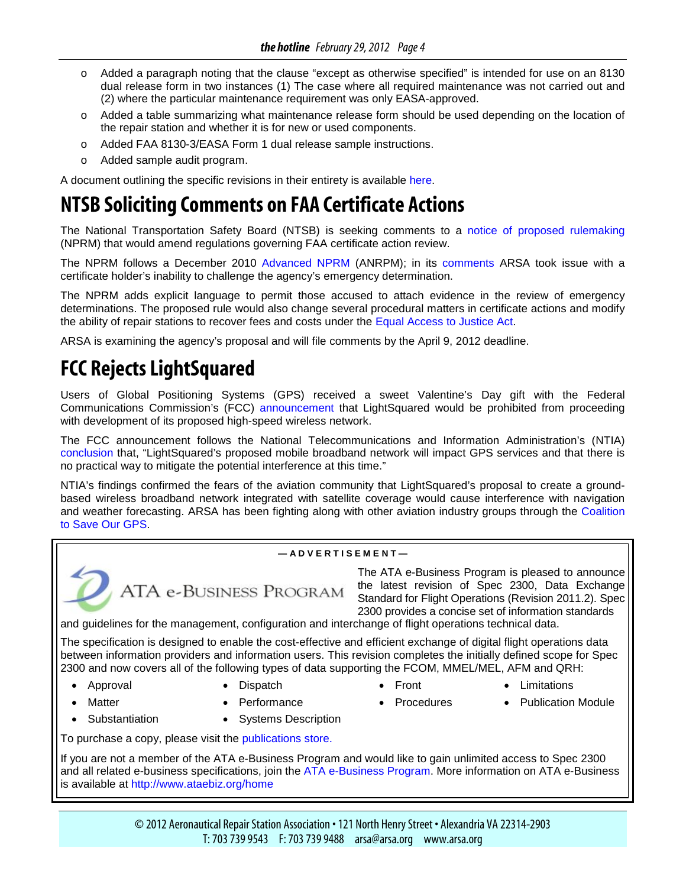- <span id="page-3-0"></span>o Added a paragraph noting that the clause "except as otherwise specified" is intended for use on an 8130 dual release form in two instances (1) The case where all required maintenance was not carried out and (2) where the particular maintenance requirement was only EASA-approved.
- o Added a table summarizing what maintenance release form should be used depending on the location of the repair station and whether it is for new or used components.
- o Added FAA 8130-3/EASA Form 1 dual release sample instructions.
- o Added sample audit program.

A document outlining the specific revisions in their entirety is available [here.](http://www.arsa.org/files2/ARSA-MAGCHG1Comparison-20120217.pdf)

# **NTSB Soliciting Comments on FAA Certificate Actions**

The National Transportation Safety Board (NTSB) is seeking comments to a [notice of proposed rulemaking](http://www.gpo.gov/fdsys/pkg/FR-2012-02-09/pdf/2012-2278.pdf) (NPRM) that would amend regulations governing FAA certificate action review.

The NPRM follows a December 2010 [Advanced NPRM](http://www.regulations.gov/#!documentDetail;D=NTSB-GC-2011-0001-0001) (ANRPM); in its [comments](http://www.arsa.org/node/689) ARSA took issue with a certificate holder's inability to challenge the agency's emergency determination.

The NPRM adds explicit language to permit those accused to attach evidence in the review of emergency determinations. The proposed rule would also change several procedural matters in certificate actions and modify the ability of repair stations to recover fees and costs under the [Equal Access to Justice Act.](http://archive.sba.gov/advo/laws/sum_eaja.html)

ARSA is examining the agency's proposal and will file comments by the April 9, 2012 deadline.

# **FCC Rejects LightSquared**

Users of Global Positioning Systems (GPS) received a sweet Valentine's Day gift with the Federal Communications Commission's (FCC) [announcement](http://www.fcc.gov/document/spokesperson-statement-ntia-letter-lightsquared-and-gps) that LightSquared would be prohibited from proceeding with development of its proposed high-speed wireless network.

The FCC announcement follows the National Telecommunications and Information Administration's (NTIA) [conclusion](http://www.ntia.doc.gov/files/ntia/publications/lightsquared_letter_to_chairman_genachowski_-_feb_14_2012.pdf) that, "LightSquared's proposed mobile broadband network will impact GPS services and that there is no practical way to mitigate the potential interference at this time."

NTIA's findings confirmed the fears of the aviation community that LightSquared's proposal to create a groundbased wireless broadband network integrated with satellite coverage would cause interference with navigation and weather forecasting. ARSA has been fighting along with other aviation industry groups through the [Coalition](http://saveourgps.org/)  [to Save Our GPS.](http://saveourgps.org/)



**— A D V E R T I S E M E N T —**

The ATA e-Business Program is pleased to announce the latest revision of Spec 2300, Data Exchange Standard for Flight Operations (Revision 2011.2). Spec 2300 provides a concise set of information standards

and guidelines for the management, configuration and interchange of flight operations technical data.

The specification is designed to enable the cost-effective and efficient exchange of digital flight operations data between information providers and information users. This revision completes the initially defined scope for Spec 2300 and now covers all of the following types of data supporting the FCOM, MMEL/MEL, AFM and QRH:

- 
- 

ATA e-BUSINESS PROGRAM

- 
- Approval Dispatch Front Limitations
- Matter Performance Procedures Publication Module
- 
- 
- 
- 
- 
- Substantiation Systems Description

To purchase a copy, please visit the [publications store.](http://atae-businessannouncements.createsend2.com/t/y/l/yhiyjkk/kuyhydthh/r/)

If you are not a member of the ATA e-Business Program and would like to gain unlimited access to Spec 2300 and all related e-business specifications, join the [ATA e-Business Program.](http://atae-businessannouncements.createsend2.com/t/y/l/yhiyjkk/kuyhydthh/y/) More information on ATA e-Business is available at<http://www.ataebiz.org/home>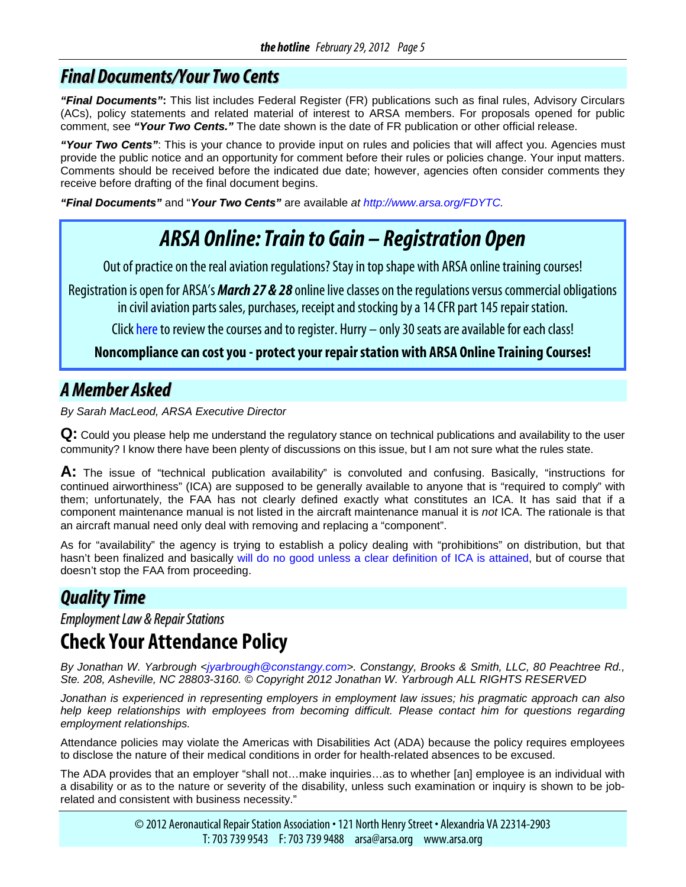## <span id="page-4-0"></span>*Final Documents/YourTwo Cents*

*"Final Documents"***:** This list includes Federal Register (FR) publications such as final rules, Advisory Circulars (ACs), policy statements and related material of interest to ARSA members. For proposals opened for public comment, see *"Your Two Cents."* The date shown is the date of FR publication or other official release.

*"Your Two Cents"*: This is your chance to provide input on rules and policies that will affect you. Agencies must provide the public notice and an opportunity for comment before their rules or policies change. Your input matters. Comments should be received before the indicated due date; however, agencies often consider comments they receive before drafting of the final document begins.

*"Final Documents"* and "*Your Two Cents"* are available *at [http://www.arsa.org/FDYTC.](http://www.arsa.org/node/545)*

# *ARSA Online: Train to Gain – Registration Open*

Out of practice on the real aviation regulations? Stay in top shape with ARSA online training courses!

Registration is open for ARSA's *March 27 & 28* online live classes on the regulations versus commercial obligations in civil aviation parts sales, purchases, receipt and stocking by a 14 CFR part 145 repair station.

Clic[k here](http://www.arsa.org/?q=node/631) to review the courses and to register. Hurry – only 30 seats are available for each class!

**Noncompliance can cost you - protect your repair station with ARSA Online Training Courses!**

## *AMember Asked*

*By Sarah MacLeod, ARSA Executive Director*

**Q:** Could you please help me understand the regulatory stance on technical publications and availability to the user community? I know there have been plenty of discussions on this issue, but I am not sure what the rules state.

**A:** The issue of "technical publication availability" is convoluted and confusing. Basically, "instructions for continued airworthiness" (ICA) are supposed to be generally available to anyone that is "required to comply" with them; unfortunately, the FAA has not clearly defined exactly what constitutes an ICA. It has said that if a component maintenance manual is not listed in the aircraft maintenance manual it is *not* ICA. The rationale is that an aircraft manual need only deal with removing and replacing a "component".

As for "availability" the agency is trying to establish a policy dealing with "prohibitions" on distribution, but that hasn't been finalized and basically [will do no good unless a clear definition of ICA is attained,](http://www.arsa.org/node/812) but of course that doesn't stop the FAA from proceeding.

## *QualityTime*

*Employment Law & Repair Stations* 

# **Check Your Attendance Policy**

*By Jonathan W. Yarbrough <jyarbrough@constangy.com>. Constangy, Brooks & Smith, LLC, 80 Peachtree Rd., Ste. 208, Asheville, NC 28803-3160. © Copyright 2012 Jonathan W. Yarbrough ALL RIGHTS RESERVED*

*Jonathan is experienced in representing employers in employment law issues; his pragmatic approach can also help keep relationships with employees from becoming difficult. Please contact him for questions regarding employment relationships.*

Attendance policies may violate the Americas with Disabilities Act (ADA) because the policy requires employees to disclose the nature of their medical conditions in order for health-related absences to be excused.

The ADA provides that an employer "shall not…make inquiries…as to whether [an] employee is an individual with a disability or as to the nature or severity of the disability, unless such examination or inquiry is shown to be jobrelated and consistent with business necessity."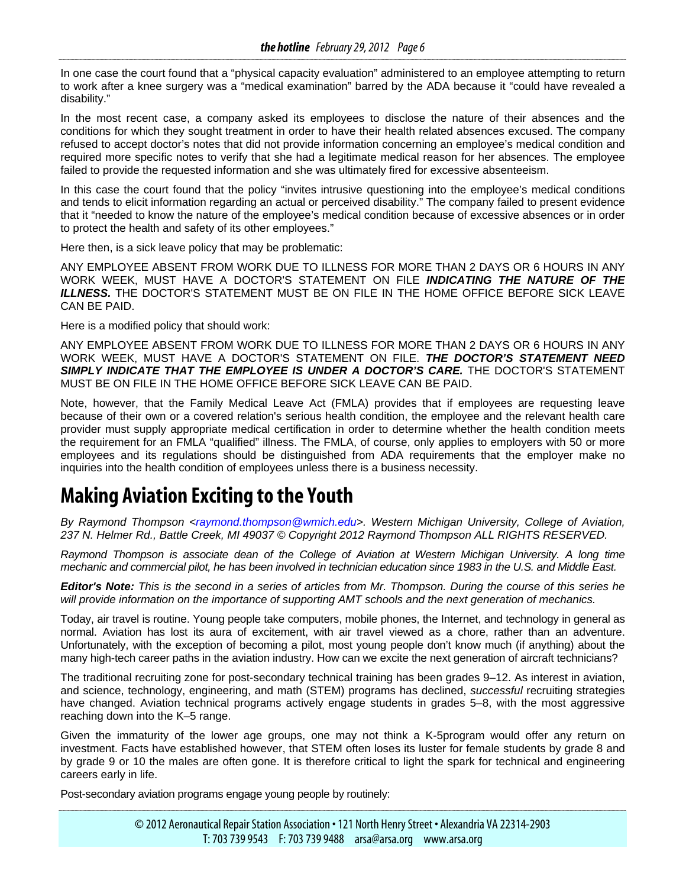<span id="page-5-0"></span>In one case the court found that a "physical capacity evaluation" administered to an employee attempting to return to work after a knee surgery was a "medical examination" barred by the ADA because it "could have revealed a disability."

In the most recent case, a company asked its employees to disclose the nature of their absences and the conditions for which they sought treatment in order to have their health related absences excused. The company refused to accept doctor's notes that did not provide information concerning an employee's medical condition and required more specific notes to verify that she had a legitimate medical reason for her absences. The employee failed to provide the requested information and she was ultimately fired for excessive absenteeism.

In this case the court found that the policy "invites intrusive questioning into the employee's medical conditions and tends to elicit information regarding an actual or perceived disability." The company failed to present evidence that it "needed to know the nature of the employee's medical condition because of excessive absences or in order to protect the health and safety of its other employees."

Here then, is a sick leave policy that may be problematic:

ANY EMPLOYEE ABSENT FROM WORK DUE TO ILLNESS FOR MORE THAN 2 DAYS OR 6 HOURS IN ANY WORK WEEK, MUST HAVE A DOCTOR'S STATEMENT ON FILE *INDICATING THE NATURE OF THE ILLNESS.* THE DOCTOR'S STATEMENT MUST BE ON FILE IN THE HOME OFFICE BEFORE SICK LEAVE CAN BE PAID.

Here is a modified policy that should work:

ANY EMPLOYEE ABSENT FROM WORK DUE TO ILLNESS FOR MORE THAN 2 DAYS OR 6 HOURS IN ANY WORK WEEK, MUST HAVE A DOCTOR'S STATEMENT ON FILE. *THE DOCTOR'S STATEMENT NEED SIMPLY INDICATE THAT THE EMPLOYEE IS UNDER A DOCTOR'S CARE.* THE DOCTOR'S STATEMENT MUST BE ON FILE IN THE HOME OFFICE BEFORE SICK LEAVE CAN BE PAID.

Note, however, that the Family Medical Leave Act (FMLA) provides that if employees are requesting leave because of their own or a covered relation's serious health condition, the employee and the relevant health care provider must supply appropriate medical certification in order to determine whether the health condition meets the requirement for an FMLA "qualified" illness. The FMLA, of course, only applies to employers with 50 or more employees and its regulations should be distinguished from ADA requirements that the employer make no inquiries into the health condition of employees unless there is a business necessity.

# **Making Aviation Exciting to the Youth**

*By Raymond Thompson <raymond.thompson@wmich.edu>. Western Michigan University, College of Aviation, 237 N. Helmer Rd., Battle Creek, MI 49037 © Copyright 2012 Raymond Thompson ALL RIGHTS RESERVED.* 

*Raymond Thompson is associate dean of the College of Aviation at Western Michigan University. A long time mechanic and commercial pilot, he has been involved in technician education since 1983 in the U.S. and Middle East.* 

*Editor's Note: This is the second in a series of articles from Mr. Thompson. During the course of this series he will provide information on the importance of supporting AMT schools and the next generation of mechanics.* 

Today, air travel is routine. Young people take computers, mobile phones, the Internet, and technology in general as normal. Aviation has lost its aura of excitement, with air travel viewed as a chore, rather than an adventure. Unfortunately, with the exception of becoming a pilot, most young people don't know much (if anything) about the many high-tech career paths in the aviation industry. How can we excite the next generation of aircraft technicians?

The traditional recruiting zone for post-secondary technical training has been grades 9–12. As interest in aviation, and science, technology, engineering, and math (STEM) programs has declined, *successful* recruiting strategies have changed. Aviation technical programs actively engage students in grades 5–8, with the most aggressive reaching down into the K–5 range.

Given the immaturity of the lower age groups, one may not think a K-5program would offer any return on investment. Facts have established however, that STEM often loses its luster for female students by grade 8 and by grade 9 or 10 the males are often gone. It is therefore critical to light the spark for technical and engineering careers early in life.

Post-secondary aviation programs engage young people by routinely: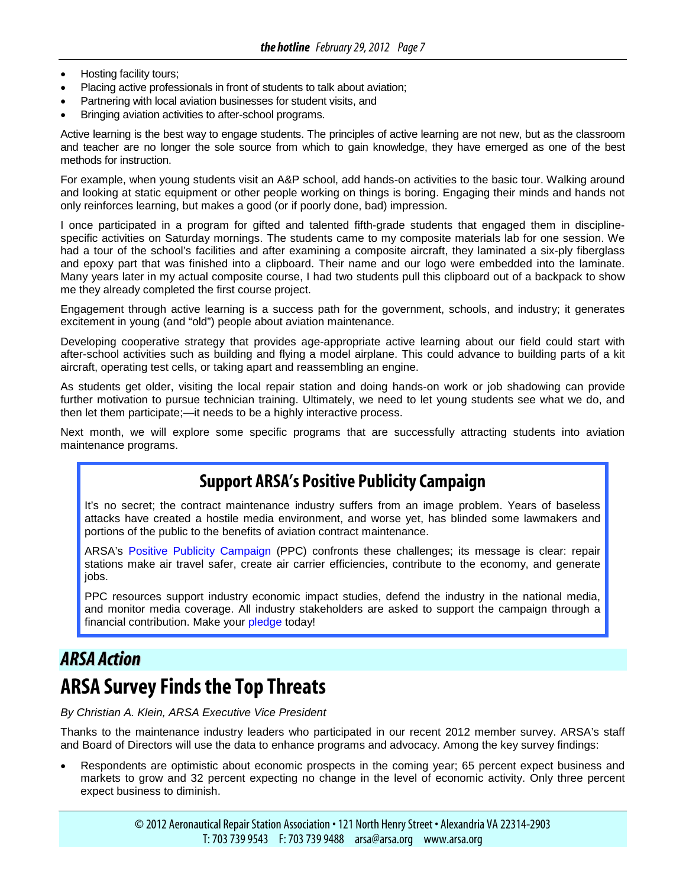- <span id="page-6-0"></span>• Hosting facility tours;
- Placing active professionals in front of students to talk about aviation;
- Partnering with local aviation businesses for student visits, and
- Bringing aviation activities to after-school programs.

Active learning is the best way to engage students. The principles of active learning are not new, but as the classroom and teacher are no longer the sole source from which to gain knowledge, they have emerged as one of the best methods for instruction.

For example, when young students visit an A&P school, add hands-on activities to the basic tour. Walking around and looking at static equipment or other people working on things is boring. Engaging their minds and hands not only reinforces learning, but makes a good (or if poorly done, bad) impression.

I once participated in a program for gifted and talented fifth-grade students that engaged them in disciplinespecific activities on Saturday mornings. The students came to my composite materials lab for one session. We had a tour of the school's facilities and after examining a composite aircraft, they laminated a six-ply fiberglass and epoxy part that was finished into a clipboard. Their name and our logo were embedded into the laminate. Many years later in my actual composite course, I had two students pull this clipboard out of a backpack to show me they already completed the first course project.

Engagement through active learning is a success path for the government, schools, and industry; it generates excitement in young (and "old") people about aviation maintenance.

Developing cooperative strategy that provides age-appropriate active learning about our field could start with after-school activities such as building and flying a model airplane. This could advance to building parts of a kit aircraft, operating test cells, or taking apart and reassembling an engine.

As students get older, visiting the local repair station and doing hands-on work or job shadowing can provide further motivation to pursue technician training. Ultimately, we need to let young students see what we do, and then let them participate;—it needs to be a highly interactive process.

Next month, we will explore some specific programs that are successfully attracting students into aviation maintenance programs.

## **Support ARSA's Positive Publicity Campaign**

It's no secret; the contract maintenance industry suffers from an image problem. Years of baseless attacks have created a hostile media environment, and worse yet, has blinded some lawmakers and portions of the public to the benefits of aviation contract maintenance.

ARSA's [Positive Publicity Campaign](http://www.arsa.org/node/548) (PPC) confronts these challenges; its message is clear: repair stations make air travel safer, create air carrier efficiencies, contribute to the economy, and generate jobs.

PPC resources support industry economic impact studies, defend the industry in the national media, and monitor media coverage. All industry stakeholders are asked to support the campaign through a financial contribution. Make your [pledge](http://www.arsa.org/node/740) today!

## *ARSA Action*

# **ARSA Survey Findsthe Top Threats**

*By Christian A. Klein, ARSA Executive Vice President*

Thanks to the maintenance industry leaders who participated in our recent 2012 member survey. ARSA's staff and Board of Directors will use the data to enhance programs and advocacy. Among the key survey findings:

Respondents are optimistic about economic prospects in the coming year; 65 percent expect business and markets to grow and 32 percent expecting no change in the level of economic activity. Only three percent expect business to diminish.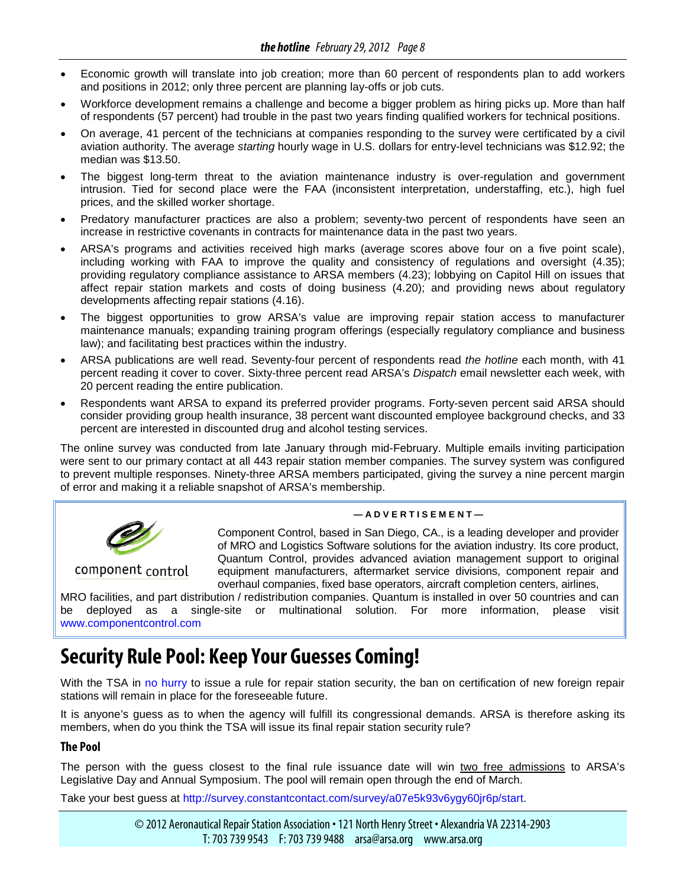- Economic growth will translate into job creation; more than 60 percent of respondents plan to add workers and positions in 2012; only three percent are planning lay-offs or job cuts.
- Workforce development remains a challenge and become a bigger problem as hiring picks up. More than half of respondents (57 percent) had trouble in the past two years finding qualified workers for technical positions.
- On average, 41 percent of the technicians at companies responding to the survey were certificated by a civil aviation authority. The average *starting* hourly wage in U.S. dollars for entry-level technicians was \$12.92; the median was \$13.50.
- The biggest long-term threat to the aviation maintenance industry is over-regulation and government intrusion. Tied for second place were the FAA (inconsistent interpretation, understaffing, etc.), high fuel prices, and the skilled worker shortage.
- Predatory manufacturer practices are also a problem; seventy-two percent of respondents have seen an increase in restrictive covenants in contracts for maintenance data in the past two years.
- ARSA's programs and activities received high marks (average scores above four on a five point scale), including working with FAA to improve the quality and consistency of regulations and oversight (4.35); providing regulatory compliance assistance to ARSA members (4.23); lobbying on Capitol Hill on issues that affect repair station markets and costs of doing business (4.20); and providing news about regulatory developments affecting repair stations (4.16).
- The biggest opportunities to grow ARSA's value are improving repair station access to manufacturer maintenance manuals; expanding training program offerings (especially regulatory compliance and business law); and facilitating best practices within the industry.
- ARSA publications are well read. Seventy-four percent of respondents read *the hotline* each month, with 41 percent reading it cover to cover. Sixty-three percent read ARSA's *Dispatch* email newsletter each week, with 20 percent reading the entire publication.
- Respondents want ARSA to expand its preferred provider programs. Forty-seven percent said ARSA should consider providing group health insurance, 38 percent want discounted employee background checks, and 33 percent are interested in discounted drug and alcohol testing services.

The online survey was conducted from late January through mid-February. Multiple emails inviting participation were sent to our primary contact at all 443 repair station member companies. The survey system was configured to prevent multiple responses. Ninety-three ARSA members participated, giving the survey a nine percent margin of error and making it a reliable snapshot of ARSA's membership.



#### **— A D V E R T I S E M E N T —**

Component Control, based in San Diego, CA., is a leading developer and provider of MRO and Logistics Software solutions for the aviation industry. Its core product, Quantum Control, provides advanced aviation management support to original equipment manufacturers, aftermarket service divisions, component repair and overhaul companies, fixed base operators, aircraft completion centers, airlines,

MRO facilities, and part distribution / redistribution companies. Quantum is installed in over 50 countries and can be deployed as a single-site or multinational solution. For more information, please visit [www.componentcontrol.com](http://www.componentcontrol.com/)

# **Security Rule Pool: Keep Your Guesses Coming!**

With the TSA in [no hurry](http://www.arsa.org/node/813) to issue a rule for repair station security, the ban on certification of new foreign repair stations will remain in place for the foreseeable future.

It is anyone's guess as to when the agency will fulfill its congressional demands. ARSA is therefore asking its members, when do you think the TSA will issue its final repair station security rule?

#### **The Pool**

The person with the guess closest to the final rule issuance date will win two free admissions to ARSA's Legislative Day and Annual Symposium. The pool will remain open through the end of March.

Take your best guess at [http://survey.constantcontact.com/survey/a07e5k93v6ygy60jr6p/start.](http://survey.constantcontact.com/survey/a07e5k93v6ygy60jr6p/start)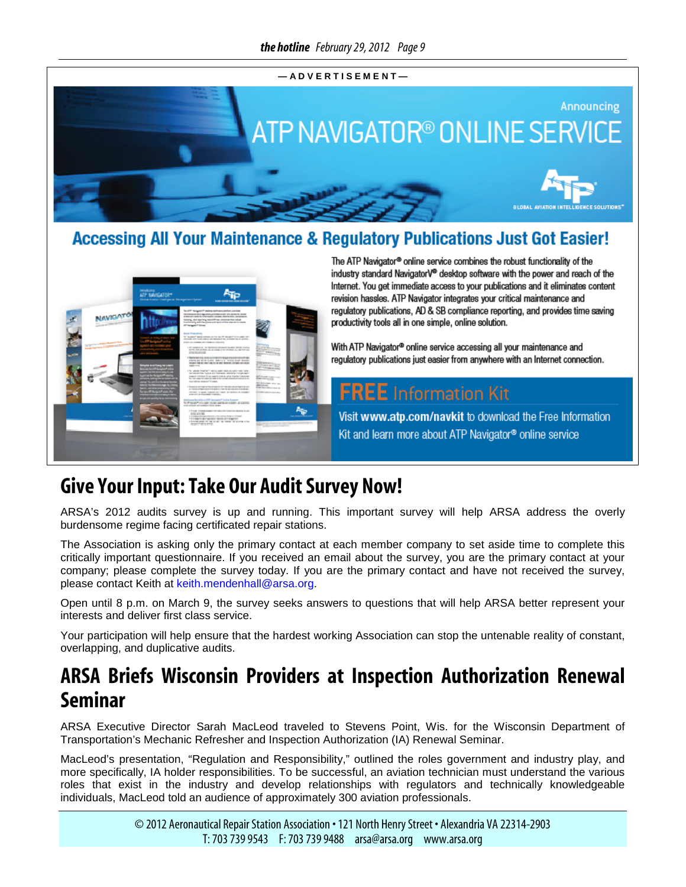

<span id="page-8-0"></span>

## **Accessing All Your Maintenance & Regulatory Publications Just Got Easier!**



The ATP Navigator® online service combines the robust functionality of the industry standard NavigatorV® desktop software with the power and reach of the Internet. You get immediate access to your publications and it eliminates content revision hassles. ATP Navigator integrates your critical maintenance and regulatory publications, AD & SB compliance reporting, and provides time saving productivity tools all in one simple, online solution.

With ATP Navigator® online service accessing all your maintenance and regulatory publications just easier from anywhere with an Internet connection.

## **FREE** Information Kit

Visit www.atp.com/navkit to download the Free Information Kit and learn more about ATP Navigator® online service

## **Give Your Input: Take Our Audit Survey Now!**

ARSA's 2012 audits survey is up and running. This important survey will help ARSA address the overly burdensome regime facing certificated repair stations.

The Association is asking only the primary contact at each member company to set aside time to complete this critically important questionnaire. If you received an email about the survey, you are the primary contact at your company; please complete the survey today. If you are the primary contact and have not received the survey, please contact Keith at [keith.mendenhall@arsa.org.](mailto:keith.mendenhall@arsa.org)

Open until 8 p.m. on March 9, the survey seeks answers to questions that will help ARSA better represent your interests and deliver first class service.

Your participation will help ensure that the hardest working Association can stop the untenable reality of constant, overlapping, and duplicative audits.

# **ARSA Briefs Wisconsin Providers at Inspection Authorization Renewal Seminar**

ARSA Executive Director Sarah MacLeod traveled to Stevens Point, Wis. for the Wisconsin Department of Transportation's Mechanic Refresher and Inspection Authorization (IA) Renewal Seminar.

MacLeod's presentation, "Regulation and Responsibility," outlined the roles government and industry play, and more specifically, IA holder responsibilities. To be successful, an aviation technician must understand the various roles that exist in the industry and develop relationships with regulators and technically knowledgeable individuals, MacLeod told an audience of approximately 300 aviation professionals.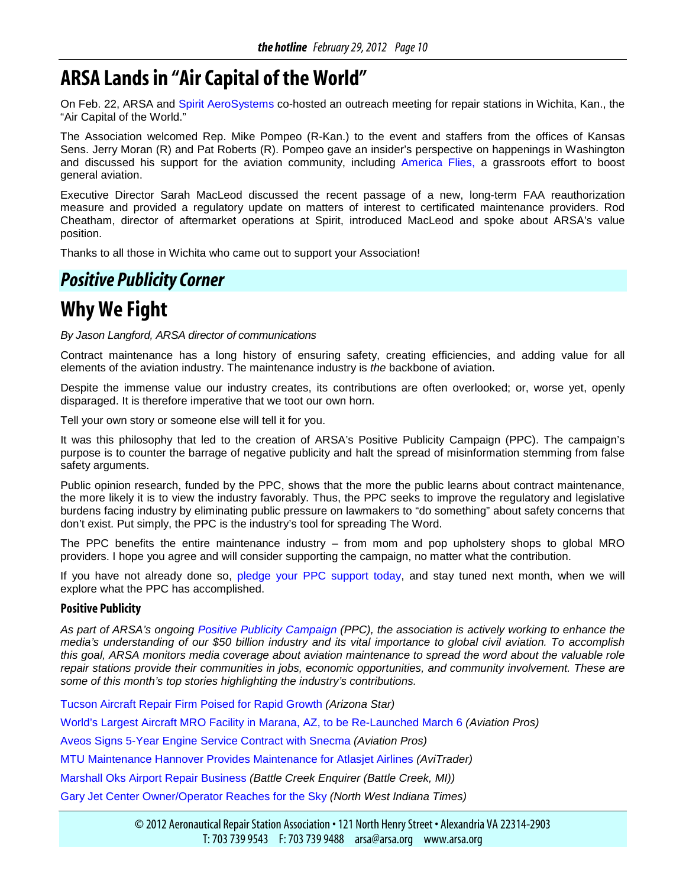# <span id="page-9-0"></span>**ARSA Lands in "Air Capital of the World"**

On Feb. 22, ARSA and [Spirit AeroSystems](http://www.spiritaero.com/) co-hosted an outreach meeting for repair stations in Wichita, Kan., the "Air Capital of the World."

The Association welcomed Rep. Mike Pompeo (R-Kan.) to the event and staffers from the offices of Kansas Sens. Jerry Moran (R) and Pat Roberts (R). Pompeo gave an insider's perspective on happenings in Washington and discussed his support for the aviation community, including [America Flies,](http://www.americaflies.us/) a grassroots effort to boost general aviation.

Executive Director Sarah MacLeod discussed the recent passage of a new, long-term FAA reauthorization measure and provided a regulatory update on matters of interest to certificated maintenance providers. Rod Cheatham, director of aftermarket operations at Spirit, introduced MacLeod and spoke about ARSA's value position.

Thanks to all those in Wichita who came out to support your Association!

## *Positive Publicity Corner*

# **Why We Fight**

*By Jason Langford, ARSA director of communications*

Contract maintenance has a long history of ensuring safety, creating efficiencies, and adding value for all elements of the aviation industry. The maintenance industry is *the* backbone of aviation.

Despite the immense value our industry creates, its contributions are often overlooked; or, worse yet, openly disparaged. It is therefore imperative that we toot our own horn.

Tell your own story or someone else will tell it for you.

It was this philosophy that led to the creation of ARSA's Positive Publicity Campaign (PPC). The campaign's purpose is to counter the barrage of negative publicity and halt the spread of misinformation stemming from false safety arguments.

Public opinion research, funded by the PPC, shows that the more the public learns about contract maintenance, the more likely it is to view the industry favorably. Thus, the PPC seeks to improve the regulatory and legislative burdens facing industry by eliminating public pressure on lawmakers to "do something" about safety concerns that don't exist. Put simply, the PPC is the industry's tool for spreading The Word.

The PPC benefits the entire maintenance industry – from mom and pop upholstery shops to global MRO providers. I hope you agree and will consider supporting the campaign, no matter what the contribution.

If you have not already done so, [pledge your PPC support today,](http://www.arsa.org/node/740) and stay tuned next month, when we will explore what the PPC has accomplished.

#### **Positive Publicity**

*As part of ARSA's ongoing [Positive Publicity Campaign](http://www.arsa.org/node/548) (PPC), the association is actively working to enhance the media's understanding of our \$50 billion industry and its vital importance to global civil aviation. To accomplish this goal, ARSA monitors media coverage about aviation maintenance to spread the word about the valuable role repair stations provide their communities in jobs, economic opportunities, and community involvement. These are some of this month's top stories highlighting the industry's contributions.*

[Tucson Aircraft Repair Firm Poised for Rapid Growth](http://azstarnet.com/business/local/tucson-aircraft-repair-firm-poised-for-rapid-growth/article_d8e9cb5c-5f5f-11e1-ab2b-001871e3ce6c.html) *(Arizona Star)*

[World's Largest Aircraft MRO Facility in Marana, AZ, to be Re-Launched March 6](http://www.aviationpros.com/news/10633786/worlds-largest-aircraft-mro-facility-in-marana-az-to-be-re-launched-march-6) *(Aviation Pros)*

[Aveos Signs 5-Year Engine Service Contract with Snecma](http://www.aviationpros.com/news/10632380/aveos-signs-5-year-engine-service-contract-with-snecma-safran-group) *(Aviation Pros)*

[MTU Maintenance Hannover Provides Maintenance for Atlasjet Airlines](http://www.avitrader.com/2012/02/24/mtu-maintenance-hannover-provides-maintenance-for-atlasjet-airlines/) *(AviTrader)*

[Marshall Oks Airport Repair Business](http://www.battlecreekenquirer.com/article/20120222/NEWS01/302200053/Marshall-OKs-airport-repair-business) *(Battle Creek Enquirer (Battle Creek, MI))*

[Gary Jet Center Owner/Operator Reaches for the Sky](http://www.nwitimes.com/niche/inbusiness/gary-jet-center-owner-operator-reaches-for-the-sky/article_65d7f01c-f20a-5d93-a709-98892dbd5fc7.html) *(North West Indiana Times)*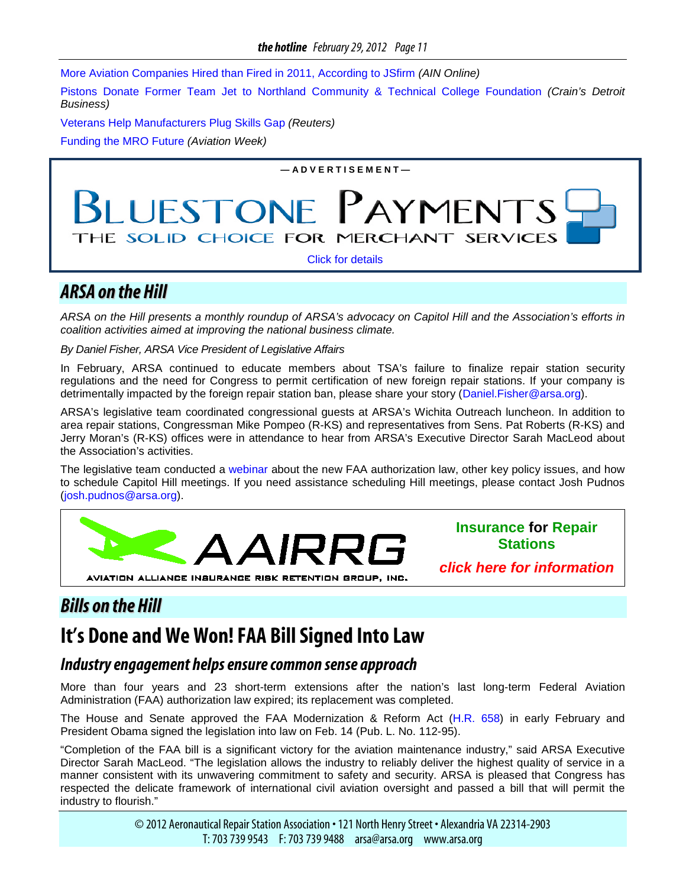<span id="page-10-0"></span>[More Aviation Companies Hired than Fired in 2011, According to JSfirm](http://www.ainonline.com/aviation-news/hai-convention-news/2012-02-12/more-aviation-companies-hired-fired-2011-according-jsfirm) *(AIN Online)*

[Pistons Donate Former Team Jet to Northland Community & Technical College Foundation](http://www.crainsdetroit.com/article/20120208/FREE/120209916) *(Crain's Detroit Business)*

[Veterans Help Manufacturers Plug Skills Gap](http://www.reuters.com/article/2012/02/02/us-usa-economy-veterans-idUSTRE8112CO20120202) *(Reuters)*

[Funding the MRO Future](http://www.aviationweek.com/aw/generic/story.jsp?id=news/om/2012/02/01/OM_02_01_2012_p20-413752.xml&headline=Funding%20The%20MRO%20Future&channel=mro) *(Aviation Week)*

**— A D V E R T I S E M E N T —**

# PAYMENT **UESTONE** THE SOLID CHOICE FOR MERCHANT SERVICES

[Click for details](http://www.arsa.org/node/595)

### *ARSA on the Hill*

*ARSA on the Hill presents a monthly roundup of ARSA's advocacy on Capitol Hill and the Association's efforts in coalition activities aimed at improving the national business climate.*

*By Daniel Fisher, ARSA Vice President of Legislative Affairs*

In February, ARSA continued to educate members about TSA's failure to finalize repair station security regulations and the need for Congress to permit certification of new foreign repair stations. If your company is detrimentally impacted by the foreign repair station ban, please share your story [\(Daniel.Fisher@arsa.org\)](mailto:Daniel.Fisher@arsa.org).

ARSA's legislative team coordinated congressional guests at ARSA's Wichita Outreach luncheon. In addition to area repair stations, Congressman Mike Pompeo (R-KS) and representatives from Sens. Pat Roberts (R-KS) and Jerry Moran's (R-KS) offices were in attendance to hear from ARSA's Executive Director Sarah MacLeod about the Association's activities.

The legislative team conducted a [webinar](http://www.arsa.org/files/ARSA-LegislativeDayWebinarTemplate-20120228.pdf) about the new FAA authorization law, other key policy issues, and how to schedule Capitol Hill meetings. If you need assistance scheduling Hill meetings, please contact Josh Pudnos [\(josh.pudnos@arsa.org\)](mailto:josh.pudnos@arsa.org).



**Insurance for Repair Stations**

*[click here for information](http://www.aairrg.com/)*

## *Bills on the Hill*

# **It's Done and We Won! FAA Bill Signed Into Law**

#### *Industry engagement helps ensure common sense approach*

More than four years and 23 short-term extensions after the nation's last long-term Federal Aviation Administration (FAA) authorization law expired; its replacement was completed.

The House and Senate approved the FAA Modernization & Reform Act [\(H.R. 658\)](http://www.gpo.gov/fdsys/pkg/CREC-2012-02-01/html/CREC-2012-02-01-pt1-PgH230-4.htm) in early February and President Obama signed the legislation into law on Feb. 14 (Pub. L. No. 112-95).

"Completion of the FAA bill is a significant victory for the aviation maintenance industry," said ARSA Executive Director Sarah MacLeod. "The legislation allows the industry to reliably deliver the highest quality of service in a manner consistent with its unwavering commitment to safety and security. ARSA is pleased that Congress has respected the delicate framework of international civil aviation oversight and passed a bill that will permit the industry to flourish."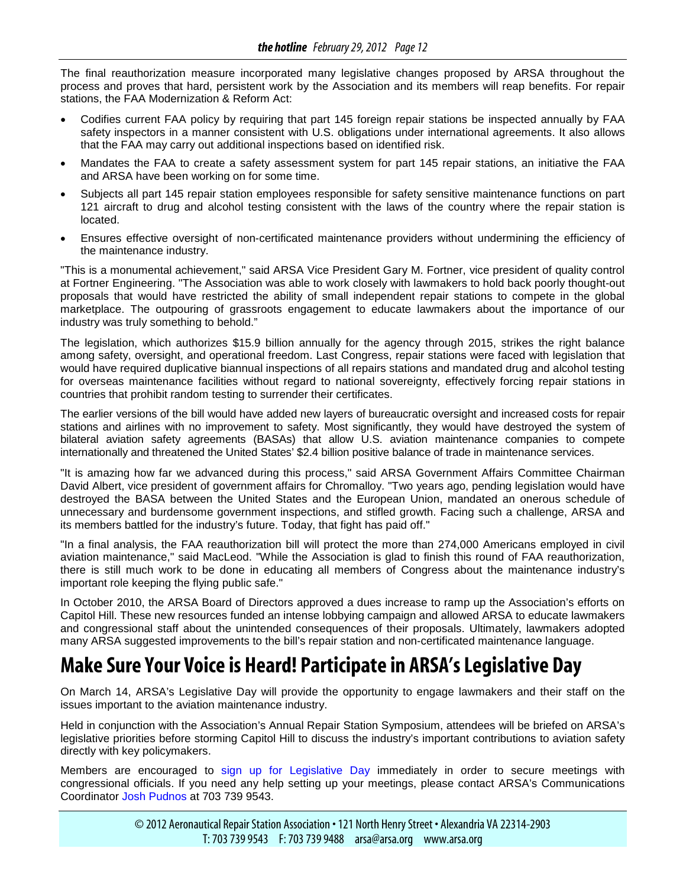<span id="page-11-0"></span>The final reauthorization measure incorporated many legislative changes proposed by ARSA throughout the process and proves that hard, persistent work by the Association and its members will reap benefits. For repair stations, the FAA Modernization & Reform Act:

- Codifies current FAA policy by requiring that part 145 foreign repair stations be inspected annually by FAA safety inspectors in a manner consistent with U.S. obligations under international agreements. It also allows that the FAA may carry out additional inspections based on identified risk.
- Mandates the FAA to create a safety assessment system for part 145 repair stations, an initiative the FAA and ARSA have been working on for some time.
- Subjects all part 145 repair station employees responsible for safety sensitive maintenance functions on part 121 aircraft to drug and alcohol testing consistent with the laws of the country where the repair station is located.
- Ensures effective oversight of non-certificated maintenance providers without undermining the efficiency of the maintenance industry.

"This is a monumental achievement," said ARSA Vice President Gary M. Fortner, vice president of quality control at Fortner Engineering. "The Association was able to work closely with lawmakers to hold back poorly thought-out proposals that would have restricted the ability of small independent repair stations to compete in the global marketplace. The outpouring of grassroots engagement to educate lawmakers about the importance of our industry was truly something to behold."

The legislation, which authorizes \$15.9 billion annually for the agency through 2015, strikes the right balance among safety, oversight, and operational freedom. Last Congress, repair stations were faced with legislation that would have required duplicative biannual inspections of all repairs stations and mandated drug and alcohol testing for overseas maintenance facilities without regard to national sovereignty, effectively forcing repair stations in countries that prohibit random testing to surrender their certificates.

The earlier versions of the bill would have added new layers of bureaucratic oversight and increased costs for repair stations and airlines with no improvement to safety. Most significantly, they would have destroyed the system of bilateral aviation safety agreements (BASAs) that allow U.S. aviation maintenance companies to compete internationally and threatened the United States' \$2.4 billion positive balance of trade in maintenance services.

"It is amazing how far we advanced during this process," said ARSA Government Affairs Committee Chairman David Albert, vice president of government affairs for Chromalloy. "Two years ago, pending legislation would have destroyed the BASA between the United States and the European Union, mandated an onerous schedule of unnecessary and burdensome government inspections, and stifled growth. Facing such a challenge, ARSA and its members battled for the industry's future. Today, that fight has paid off."

"In a final analysis, the FAA reauthorization bill will protect the more than 274,000 Americans employed in civil aviation maintenance," said MacLeod. "While the Association is glad to finish this round of FAA reauthorization, there is still much work to be done in educating all members of Congress about the maintenance industry's important role keeping the flying public safe."

In October 2010, the ARSA Board of Directors approved a dues increase to ramp up the Association's efforts on Capitol Hill. These new resources funded an intense lobbying campaign and allowed ARSA to educate lawmakers and congressional staff about the unintended consequences of their proposals. Ultimately, lawmakers adopted many ARSA suggested improvements to the bill's repair station and non-certificated maintenance language.

# **Make Sure Your Voice is Heard! Participate in ARSA's Legislative Day**

On March 14, ARSA's Legislative Day will provide the opportunity to engage lawmakers and their staff on the issues important to the aviation maintenance industry.

Held in conjunction with the Association's Annual Repair Station Symposium, attendees will be briefed on ARSA's legislative priorities before storming Capitol Hill to discuss the industry's important contributions to aviation safety directly with key policymakers.

Members are encouraged to [sign up for Legislative Day](http://www.arsa.org/node/219) immediately in order to secure meetings with congressional officials. If you need any help setting up your meetings, please contact ARSA's Communications Coordinator [Josh Pudnos](mailto:josh.pudnos@arsa.org) at 703 739 9543.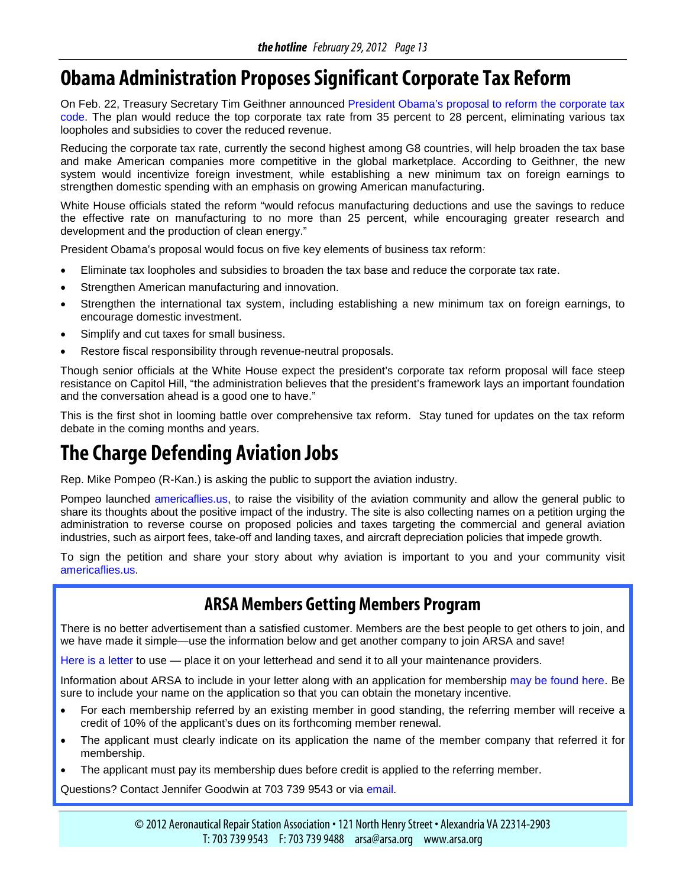# <span id="page-12-0"></span>**Obama Administration Proposes Significant Corporate Tax Reform**

On Feb. 22, Treasury Secretary Tim Geithner announced [President Obama's proposal to reform the corporate tax](http://www.treasury.gov/resource-center/tax-policy/Documents/The-Presidents-Framework-for-Business-Tax-Reform-02-22-2012.pdf)  [code.](http://www.treasury.gov/resource-center/tax-policy/Documents/The-Presidents-Framework-for-Business-Tax-Reform-02-22-2012.pdf) The plan would reduce the top corporate tax rate from 35 percent to 28 percent, eliminating various tax loopholes and subsidies to cover the reduced revenue.

Reducing the corporate tax rate, currently the second highest among G8 countries, will help broaden the tax base and make American companies more competitive in the global marketplace. According to Geithner, the new system would incentivize foreign investment, while establishing a new minimum tax on foreign earnings to strengthen domestic spending with an emphasis on growing American manufacturing.

White House officials stated the reform "would refocus manufacturing deductions and use the savings to reduce the effective rate on manufacturing to no more than 25 percent, while encouraging greater research and development and the production of clean energy."

President Obama's proposal would focus on five key elements of business tax reform:

- Eliminate tax loopholes and subsidies to broaden the tax base and reduce the corporate tax rate.
- Strengthen American manufacturing and innovation.
- Strengthen the international tax system, including establishing a new minimum tax on foreign earnings, to encourage domestic investment.
- Simplify and cut taxes for small business.
- Restore fiscal responsibility through revenue-neutral proposals.

Though senior officials at the White House expect the president's corporate tax reform proposal will face steep resistance on Capitol Hill, "the administration believes that the president's framework lays an important foundation and the conversation ahead is a good one to have."

This is the first shot in looming battle over comprehensive tax reform. Stay tuned for updates on the tax reform debate in the coming months and years.

# **The Charge Defending Aviation Jobs**

Rep. Mike Pompeo (R-Kan.) is asking the public to support the aviation industry.

Pompeo launched [americaflies.us,](http://americaflies.us/) to raise the visibility of the aviation community and allow the general public to share its thoughts about the positive impact of the industry. The site is also collecting names on a petition urging the administration to reverse course on proposed policies and taxes targeting the commercial and general aviation industries, such as airport fees, take-off and landing taxes, and aircraft depreciation policies that impede growth.

To sign the petition and share your story about why aviation is important to you and your community visit [americaflies.us.](http://americaflies.us/)

## **ARSA Members Getting Members Program**

There is no better advertisement than a satisfied customer. Members are the best people to get others to join, and we have made it simple—use the information below and get another company to join ARSA and save!

[Here is a letter](http://www.arsa.org/files/ARSA-MemberVendorRecruitmentLetter-12292008.doc) to use — place it on your letterhead and send it to all your maintenance providers.

Information about ARSA to include in your letter along with an application for membership [may be found here.](http://www.arsa.org/files/ARSA-ARSAInformation-1pagerandMemberApp-20110118.pdf) Be sure to include your name on the application so that you can obtain the monetary incentive.

- For each membership referred by an existing member in good standing, the referring member will receive a credit of 10% of the applicant's dues on its forthcoming member renewal.
- The applicant must clearly indicate on its application the name of the member company that referred it for membership.
- The applicant must pay its membership dues before credit is applied to the referring member.

Questions? Contact Jennifer Goodwin at 703 739 9543 or via [email.](mailto:Jennifer.Goodwin@arsa.org)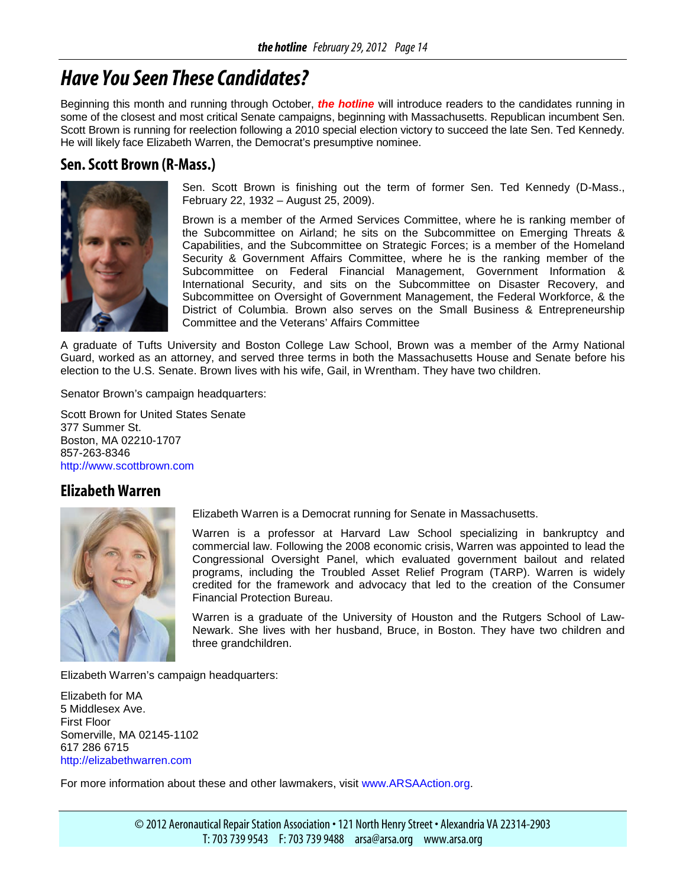# <span id="page-13-0"></span>*Have You Seen These Candidates?*

Beginning this month and running through October, *the hotline* will introduce readers to the candidates running in some of the closest and most critical Senate campaigns, beginning with Massachusetts. Republican incumbent Sen. Scott Brown is running for reelection following a 2010 special election victory to succeed the late Sen. Ted Kennedy. He will likely face Elizabeth Warren, the Democrat's presumptive nominee.

#### **Sen. Scott Brown (R-Mass.)**



Sen. Scott Brown is finishing out the term of former Sen. Ted Kennedy (D-Mass., February 22, 1932 – August 25, 2009).

Brown is a member of the Armed Services Committee, where he is ranking member of the Subcommittee on Airland; he sits on the Subcommittee on Emerging Threats & Capabilities, and the Subcommittee on Strategic Forces; is a member of the Homeland Security & Government Affairs Committee, where he is the ranking member of the Subcommittee on Federal Financial Management, Government Information & International Security, and sits on the Subcommittee on Disaster Recovery, and Subcommittee on Oversight of Government Management, the Federal Workforce, & the District of Columbia. Brown also serves on the Small Business & Entrepreneurship Committee and the Veterans' Affairs Committee

A graduate of Tufts University and Boston College Law School, Brown was a member of the Army National Guard, worked as an attorney, and served three terms in both the Massachusetts House and Senate before his election to the U.S. Senate. Brown lives with his wife, Gail, in Wrentham. They have two children.

Senator Brown's campaign headquarters:

Scott Brown for United States Senate 377 Summer St. Boston, MA 02210-1707 857-263-8346 [http://www.scottbrown.com](http://www.scottbrown.com/)

#### **Elizabeth Warren**



Elizabeth Warren is a Democrat running for Senate in Massachusetts.

Warren is a professor at Harvard Law School specializing in bankruptcy and commercial law. Following the 2008 economic crisis, Warren was appointed to lead the Congressional Oversight Panel, which evaluated government bailout and related programs, including the Troubled Asset Relief Program (TARP). Warren is widely credited for the framework and advocacy that led to the creation of the Consumer Financial Protection Bureau.

Warren is a graduate of the University of Houston and the Rutgers School of Law-Newark. She lives with her husband, Bruce, in Boston. They have two children and three grandchildren.

Elizabeth Warren's campaign headquarters:

Elizabeth for MA 5 Middlesex Ave. First Floor Somerville, MA 02145-1102 617 286 6715 [http://elizabethwarren.com](http://elizabethwarren.com/)

For more information about these and other lawmakers, visit [www.ARSAAction.org.](http://www.arsaaction.org/)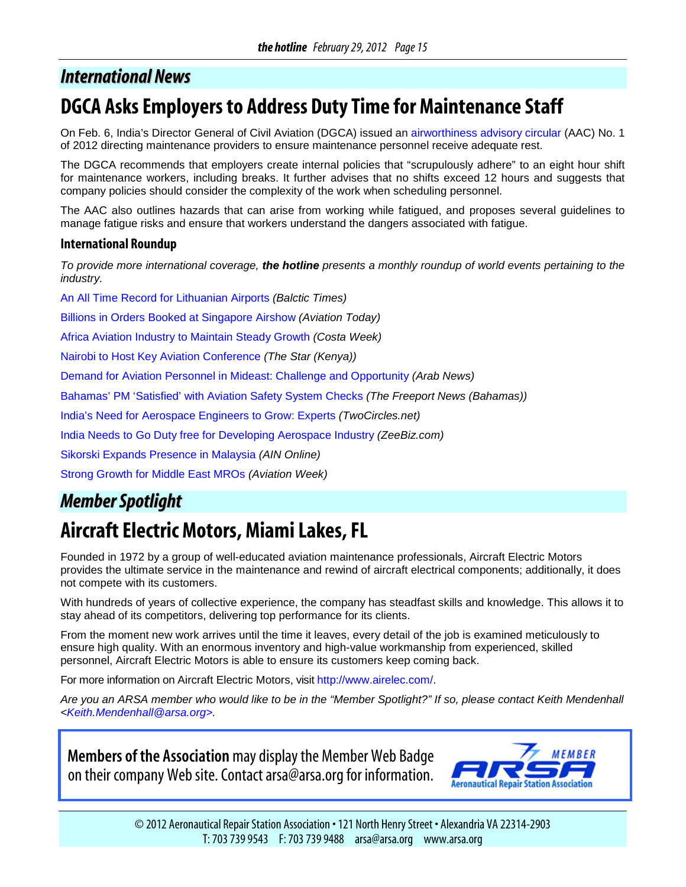## <span id="page-14-0"></span>*International News*

# **DGCA Asks Employers to Address Duty Time for Maintenance Staff**

On Feb. 6, India's Director General of Civil Aviation (DGCA) issued an [airworthiness advisory circular](http://dgca.nic.in/rules/safety-ind.htm) (AAC) No. 1 of 2012 directing maintenance providers to ensure maintenance personnel receive adequate rest.

The DGCA recommends that employers create internal policies that "scrupulously adhere" to an eight hour shift for maintenance workers, including breaks. It further advises that no shifts exceed 12 hours and suggests that company policies should consider the complexity of the work when scheduling personnel.

The AAC also outlines hazards that can arise from working while fatigued, and proposes several guidelines to manage fatigue risks and ensure that workers understand the dangers associated with fatigue.

#### **International Roundup**

*To provide more international coverage, the hotline presents a monthly roundup of world events pertaining to the industry.*

[An All Time Record for Lithuanian Airports](http://www.baltictimes.com/news/articles/30656/) *(Balctic Times)*

[Billions in Orders Booked at Singapore Airshow](http://www.aviationtoday.com/av/commercial/Billions-in-Orders-Booked-at-Singapore-Airshow_75814.html) *(Aviation Today)*

[Africa Aviation Industry to Maintain Steady Growth](http://www.coastweek.com/3508_aviation_06.htm) *(Costa Week)*

[Nairobi to Host Key Aviation Conference](http://www.the-star.co.ke/business/local/63268-nairobi-to-hold-major-aviation-conference) *(The Star (Kenya))*

[Demand for Aviation Personnel in Mideast: Challenge and Opportunity](http://arabnews.com/economy/article572472.ece) *(Arab News)*

[Bahamas' PM 'Satisfied' with Aviation](http://freeport.nassauguardian.net/national_local/343331651292355.php) Safety System Checks *(The Freeport News (Bahamas))*

[India's Need for Aerospace Engineers to Grow: Experts](http://twocircles.net/2012feb05/indias_need_aerospace_engineers_grow_experts.html) *(TwoCircles.net)*

[India Needs to Go Duty free for Developing Aerospace Industry](http://zeenews.india.com/business/economy/india-needs-to-go-duty-free-for-developing-aerospace-industry_42193.html) *(ZeeBiz.com)*

[Sikorski Expands Presence in Malaysia](http://www.ainonline.com/aviation-news/singapore-air-show/2012-02-14/sikorsky-expands-presence-malaysia) *(AIN Online)*

[Strong Growth for Middle East MROs](http://www.aviationweek.com/aw/generic/story_channel.jsp?channel=mro&id=news/awx/2012/02/02/awx_02_02_2012_p0-420011.xml&headline=Strong%20Growth%20For%20Middle%20East%20MROs) *(Aviation Week)*

## *MemberSpotlight*

# **Aircraft Electric Motors, Miami Lakes, FL**

Founded in 1972 by a group of well-educated aviation maintenance professionals, Aircraft Electric Motors provides the ultimate service in the maintenance and rewind of aircraft electrical components; additionally, it does not compete with its customers.

With hundreds of years of collective experience, the company has steadfast skills and knowledge. This allows it to stay ahead of its competitors, delivering top performance for its clients.

From the moment new work arrives until the time it leaves, every detail of the job is examined meticulously to ensure high quality. With an enormous inventory and high-value workmanship from experienced, skilled personnel, Aircraft Electric Motors is able to ensure its customers keep coming back.

For more information on Aircraft Electric Motors, visit [http://www.airelec.com/.](http://www.airelec.com/)

*Are you an ARSA member who would like to be in the "Member Spotlight?" If so, please contact Keith Mendenhall [<Keith.Mendenhall@arsa.org>](mailto:Keith.Mendenhall@arsa.org).*

**Members of the Association** may display the Member Web Badge on their company Web site. Contact arsa@arsa.org for information.



© 2012 Aeronautical Repair Station Association • 121 North Henry Street • Alexandria VA 22314-2903 T: 703 739 9543 F: 703 739 9488 arsa@arsa.org www.arsa.org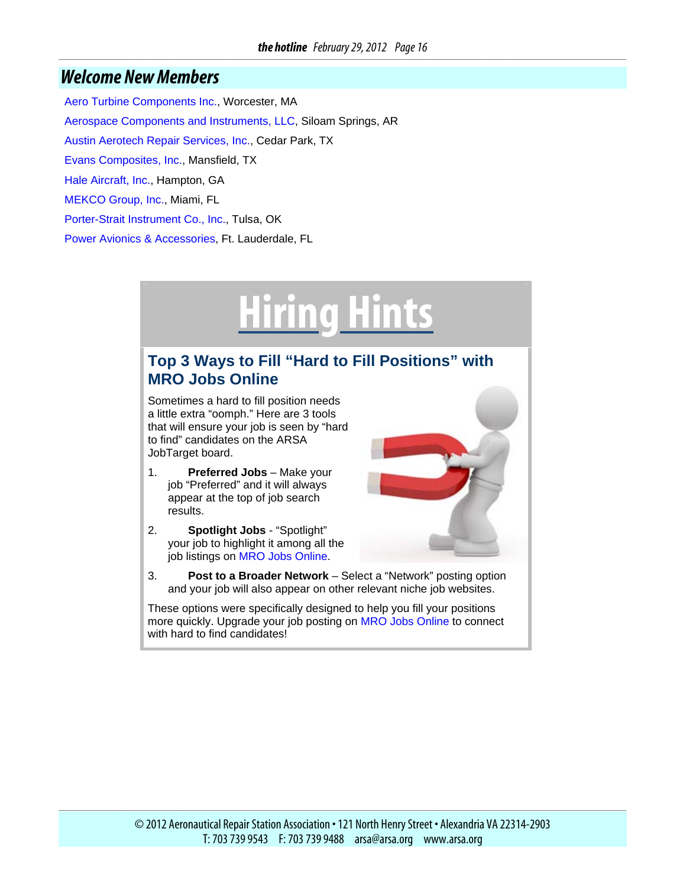#### <span id="page-15-0"></span>*Welcome New Members*

[Aero Turbine Components Inc.,](http://www.aeroturbine.com/) Worcester, MA [Aerospace Components and Instruments, LLC](http://www.aerospacecompi.com/), Siloam Springs, AR [Austin Aerotech Repair Services, Inc.](http://www.austinaerotech.com/), Cedar Park, TX [Evans Composites, Inc.,](http://www.evanscomposites.com/) Mansfield, TX [Hale Aircraft, Inc.](http://haleaircraft.com/), Hampton, GA [MEKCO Group, Inc.,](http://www.mekcogroup.com/) Miami, FL [Porter-Strait Instrument Co., Inc.,](http://porterstrait.com/) Tulsa, OK [Power Avionics & Accessories](http://poweravionics.com/), Ft. Lauderdale, FL

# **Hiring Hints**

#### **Top 3 Ways to Fill "Hard to Fill Positions" with MRO Jobs Online**

Sometimes a hard to fill position needs a little extra "oomph." Here are 3 tools that will ensure your job is seen by "hard to find" candidates on the ARSA JobTarget board.

- 1. **Preferred Jobs** Make your job "Preferred" and it will always appear at the top of job search results.
- 2. **Spotlight Jobs** "Spotlight" your job to highlight it among all the job listings on [MRO Jobs Online](http://www.arsa.org/node/489).



These options were specifically designed to help you fill your positions more quickly. Upgrade your job posting on [MRO Jobs Online](http://www.arsa.org/node/489) to connect with hard to find candidates!

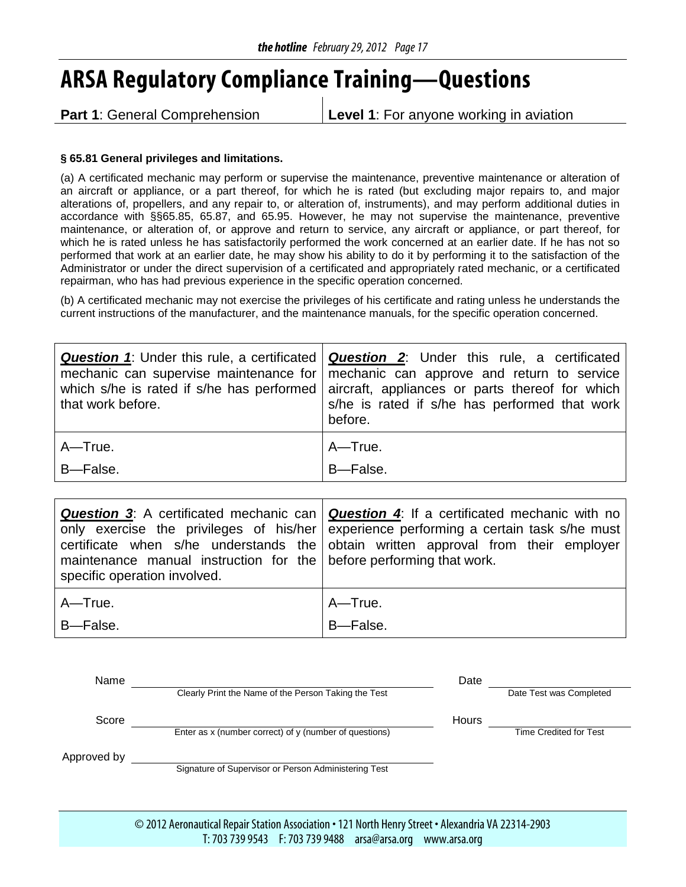# <span id="page-16-0"></span>**ARSA Regulatory Compliance Training—Questions**

**Part 1:** General Comprehension **Level 1:** For anyone working in aviation

#### **§ 65.81 General privileges and limitations.**

(a) A certificated mechanic may perform or supervise the maintenance, preventive maintenance or alteration of an aircraft or appliance, or a part thereof, for which he is rated (but excluding major repairs to, and major alterations of, propellers, and any repair to, or alteration of, instruments), and may perform additional duties in accordance with §§65.85, 65.87, and 65.95. However, he may not supervise the maintenance, preventive maintenance, or alteration of, or approve and return to service, any aircraft or appliance, or part thereof, for which he is rated unless he has satisfactorily performed the work concerned at an earlier date. If he has not so performed that work at an earlier date, he may show his ability to do it by performing it to the satisfaction of the Administrator or under the direct supervision of a certificated and appropriately rated mechanic, or a certificated repairman, who has had previous experience in the specific operation concerned.

(b) A certificated mechanic may not exercise the privileges of his certificate and rating unless he understands the current instructions of the manufacturer, and the maintenance manuals, for the specific operation concerned.

| that work before. | <b>Question 1:</b> Under this rule, a certificated   <b>Question 2:</b> Under this rule, a certificated  <br>mechanic can supervise maintenance for mechanic can approve and return to service<br>which s/he is rated if s/he has performed aircraft, appliances or parts thereof for which<br>s/he is rated if s/he has performed that work<br>before. |
|-------------------|---------------------------------------------------------------------------------------------------------------------------------------------------------------------------------------------------------------------------------------------------------------------------------------------------------------------------------------------------------|
| $A - True.$       | A-True.                                                                                                                                                                                                                                                                                                                                                 |
| B-False.          | B-False.                                                                                                                                                                                                                                                                                                                                                |

| maintenance manual instruction for the before performing that work.<br>specific operation involved. | <b>Question 3:</b> A certificated mechanic can   <b>Question 4:</b> If a certificated mechanic with no<br>only exercise the privileges of his/her experience performing a certain task s/he must<br>certificate when s/he understands the obtain written approval from their employer |
|-----------------------------------------------------------------------------------------------------|---------------------------------------------------------------------------------------------------------------------------------------------------------------------------------------------------------------------------------------------------------------------------------------|
| A-True.                                                                                             | A-True.                                                                                                                                                                                                                                                                               |
| B-False.                                                                                            | B-False.                                                                                                                                                                                                                                                                              |

| Name        |                                                        | Date  |                               |
|-------------|--------------------------------------------------------|-------|-------------------------------|
|             | Clearly Print the Name of the Person Taking the Test   |       | Date Test was Completed       |
| Score       |                                                        | Hours |                               |
|             | Enter as x (number correct) of y (number of questions) |       | <b>Time Credited for Test</b> |
| Approved by |                                                        |       |                               |
|             | Signature of Supervisor or Person Administering Test   |       |                               |
|             |                                                        |       |                               |

© 2012 Aeronautical Repair Station Association • 121 North Henry Street • Alexandria VA 22314-2903 T: 703 739 9543 F: 703 739 9488 arsa@arsa.org www.arsa.org